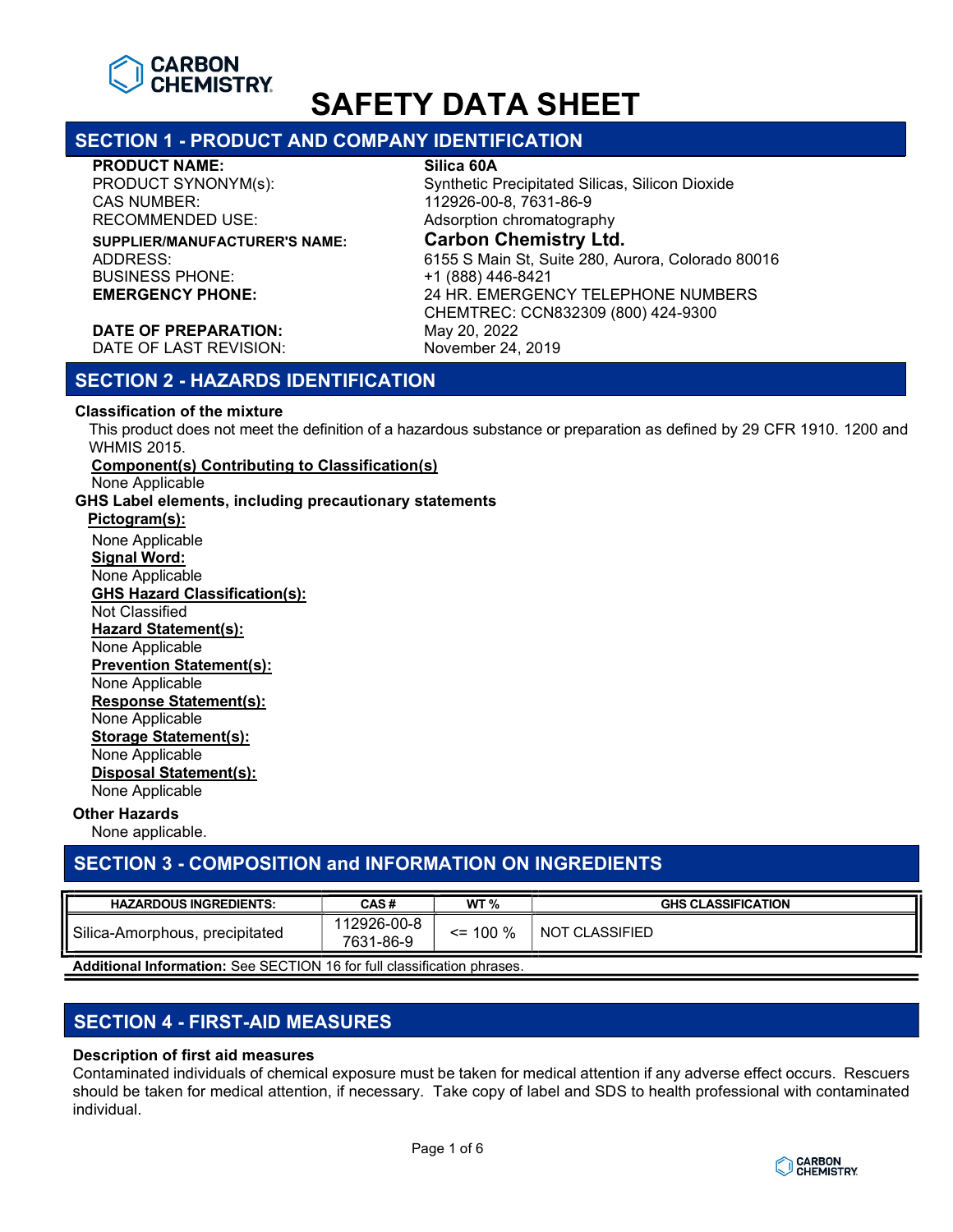

# SECTION 1 - PRODUCT AND COMPANY IDENTIFICATION

#### PRODUCT NAME: Silica 60A

PRODUCT SYNONYM(s): Synthetic Precipitated Silicas, Silicon Dioxide CAS NUMBER: 112926-00-8, 7631-86-9 RECOMMENDED USE: Adsorption chromatography

BUSINESS PHONE: +1 (888) 446-8421

SUPPLIER/MANUFACTURER'S NAME: Carbon Chemistry Ltd. ADDRESS: 6155 S Main St, Suite 280, Aurora, Colorado 80016 24 HR. EMERGENCY TELEPHONE NUMBERS CHEMTREC: CCN832309 (800) 424-9300 DATE OF LAST REVISION: November 24, 2019

DATE OF PREPARATION: May 20, 2022

# SECTION 2 - HAZARDS IDENTIFICATION

## Classification of the mixture

This product does not meet the definition of a hazardous substance or preparation as defined by 29 CFR 1910. 1200 and WHMIS 2015.

# Component(s) Contributing to Classification(s)

None Applicable

GHS Label elements, including precautionary statements

## Pictogram(s):

 None Applicable Signal Word: None Applicable GHS Hazard Classification(s): Not Classified Hazard Statement(s): None Applicable Prevention Statement(s): None Applicable Response Statement(s): None Applicable Storage Statement(s): None Applicable Disposal Statement(s): None Applicable

## Other Hazards

None applicable.

# SECTION 3 - COMPOSITION and INFORMATION ON INGREDIENTS

| <b>HAZARDOUS INGREDIENTS:</b>                                           | CAS#                     | WT $\%$      | <b>GHS CLASSIFICATION</b> |
|-------------------------------------------------------------------------|--------------------------|--------------|---------------------------|
| Silica-Amorphous, precipitated                                          | 112926-00-8<br>7631-86-9 | $\leq$ 100 % | NOT CLASSIFIED            |
| Additional Information: See SECTION 16 for full classification phrases. |                          |              |                           |

# SECTION 4 - FIRST-AID MEASURES

## Description of first aid measures

Contaminated individuals of chemical exposure must be taken for medical attention if any adverse effect occurs. Rescuers should be taken for medical attention, if necessary. Take copy of label and SDS to health professional with contaminated individual.

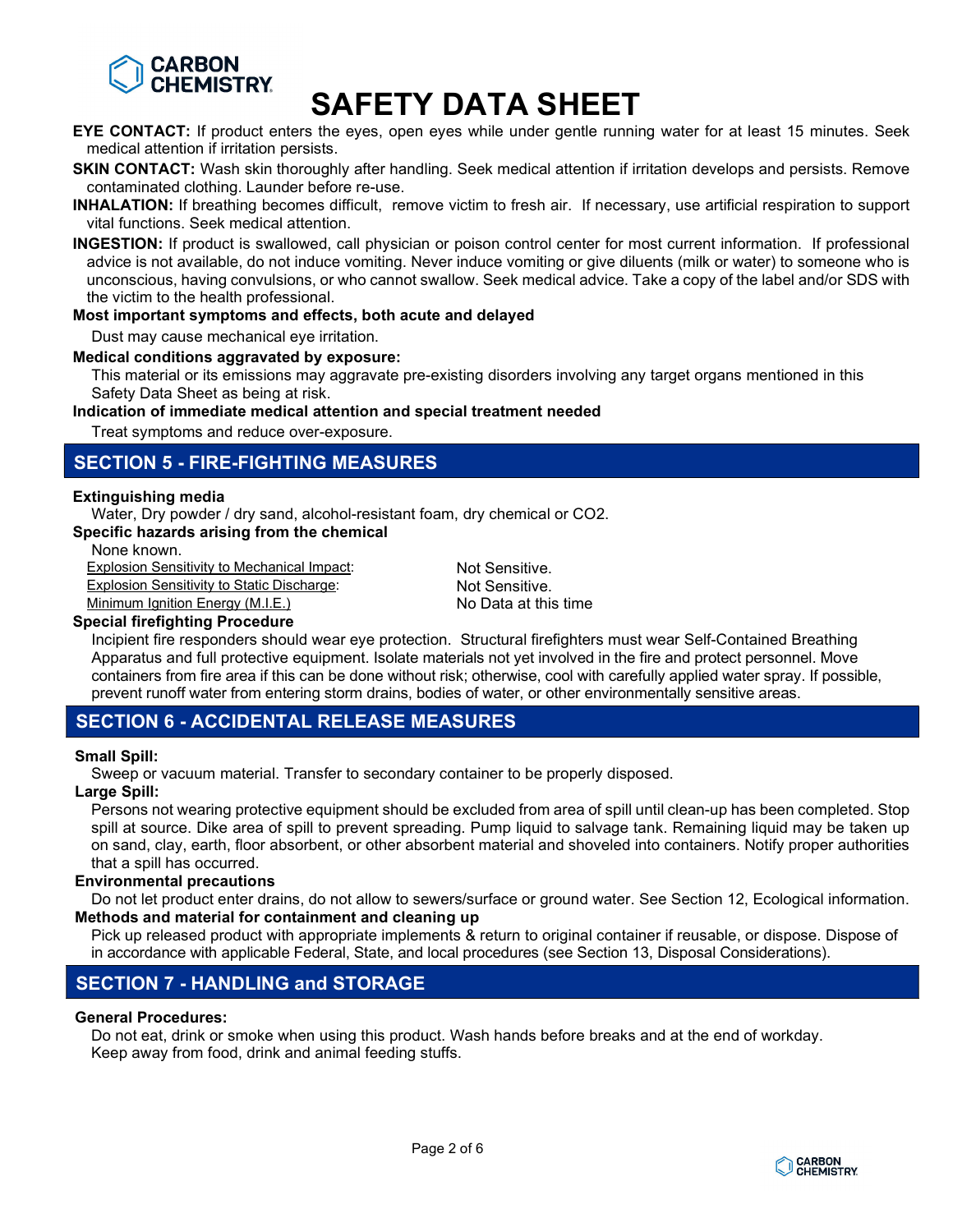

- EYE CONTACT: If product enters the eyes, open eyes while under gentle running water for at least 15 minutes. Seek medical attention if irritation persists.
- SKIN CONTACT: Wash skin thoroughly after handling. Seek medical attention if irritation develops and persists. Remove contaminated clothing. Launder before re-use.
- INHALATION: If breathing becomes difficult, remove victim to fresh air. If necessary, use artificial respiration to support vital functions. Seek medical attention.
- INGESTION: If product is swallowed, call physician or poison control center for most current information. If professional advice is not available, do not induce vomiting. Never induce vomiting or give diluents (milk or water) to someone who is unconscious, having convulsions, or who cannot swallow. Seek medical advice. Take a copy of the label and/or SDS with the victim to the health professional.

#### Most important symptoms and effects, both acute and delayed

Dust may cause mechanical eye irritation.

#### Medical conditions aggravated by exposure:

This material or its emissions may aggravate pre-existing disorders involving any target organs mentioned in this Safety Data Sheet as being at risk.

## Indication of immediate medical attention and special treatment needed

Treat symptoms and reduce over-exposure.

# SECTION 5 - FIRE-FIGHTING MEASURES

#### Extinguishing media

Water, Dry powder / dry sand, alcohol-resistant foam, dry chemical or CO2.

Specific hazards arising from the chemical

None known.

Explosion Sensitivity to Mechanical Impact: Not Sensitive.

Explosion Sensitivity to Static Discharge: Not Sensitive.

Minimum Ignition Energy (M.I.E.) No Data at this time

# Special firefighting Procedure

Incipient fire responders should wear eye protection. Structural firefighters must wear Self-Contained Breathing Apparatus and full protective equipment. Isolate materials not yet involved in the fire and protect personnel. Move containers from fire area if this can be done without risk; otherwise, cool with carefully applied water spray. If possible, prevent runoff water from entering storm drains, bodies of water, or other environmentally sensitive areas.

# SECTION 6 - ACCIDENTAL RELEASE MEASURES

## Small Spill:

Sweep or vacuum material. Transfer to secondary container to be properly disposed.

#### Large Spill:

Persons not wearing protective equipment should be excluded from area of spill until clean-up has been completed. Stop spill at source. Dike area of spill to prevent spreading. Pump liquid to salvage tank. Remaining liquid may be taken up on sand, clay, earth, floor absorbent, or other absorbent material and shoveled into containers. Notify proper authorities that a spill has occurred.

## Environmental precautions

Do not let product enter drains, do not allow to sewers/surface or ground water. See Section 12, Ecological information. Methods and material for containment and cleaning up

Pick up released product with appropriate implements & return to original container if reusable, or dispose. Dispose of in accordance with applicable Federal, State, and local procedures (see Section 13, Disposal Considerations).

# SECTION 7 - HANDLING and STORAGE

# General Procedures:

Do not eat, drink or smoke when using this product. Wash hands before breaks and at the end of workday. Keep away from food, drink and animal feeding stuffs.

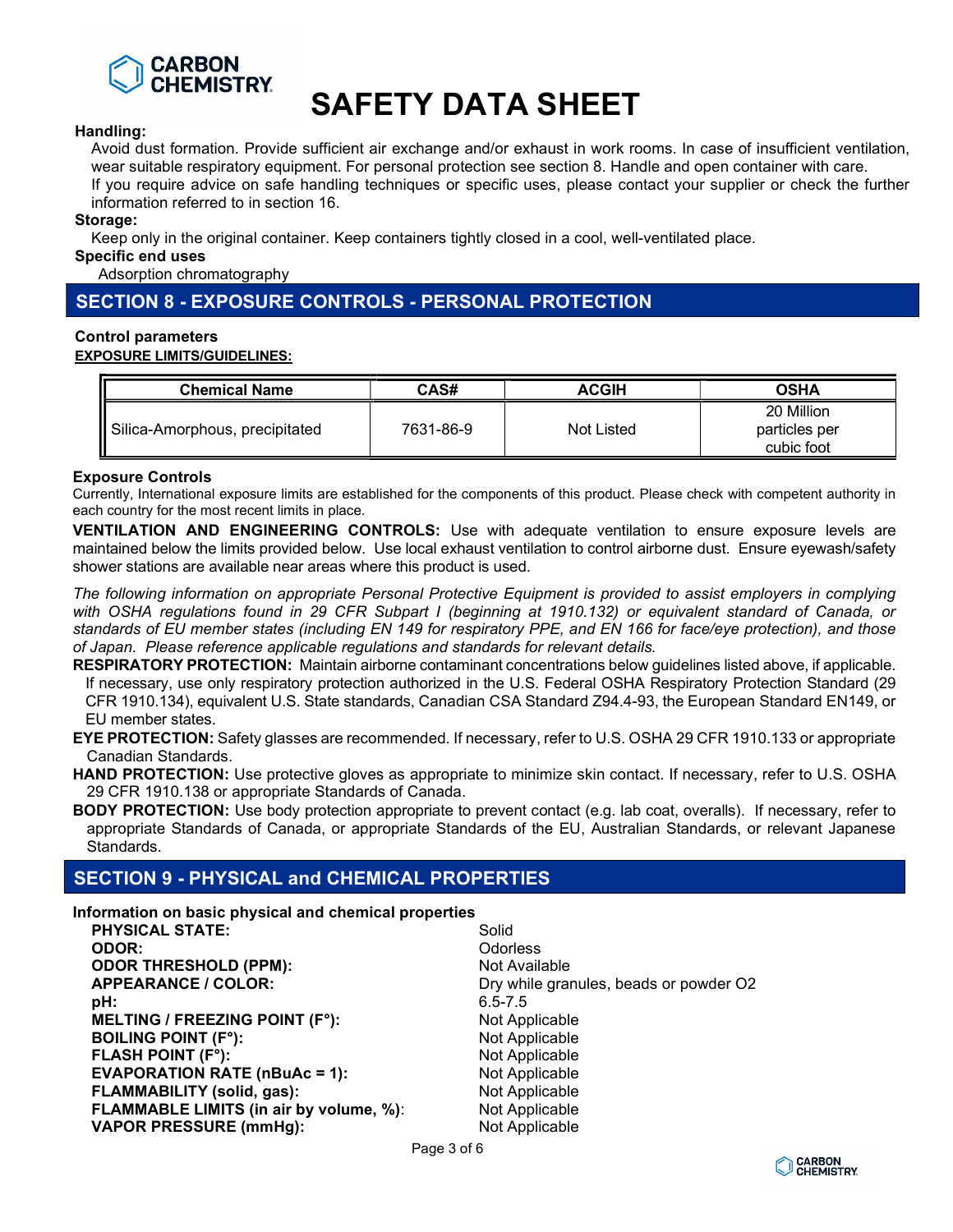

#### Handling:

Avoid dust formation. Provide sufficient air exchange and/or exhaust in work rooms. In case of insufficient ventilation, wear suitable respiratory equipment. For personal protection see section 8. Handle and open container with care. If you require advice on safe handling techniques or specific uses, please contact your supplier or check the further information referred to in section 16.

#### Storage:

Keep only in the original container. Keep containers tightly closed in a cool, well-ventilated place.

Specific end uses

Adsorption chromatography

# SECTION 8 - EXPOSURE CONTROLS - PERSONAL PROTECTION

## Control parameters

#### EXPOSURE LIMITS/GUIDELINES:

| <b>Chemical Name</b>           | CAS#      | <b>ACGIH</b> | <b>OSHA</b>                               |
|--------------------------------|-----------|--------------|-------------------------------------------|
| Silica-Amorphous, precipitated | 7631-86-9 | Not Listed   | 20 Million<br>particles per<br>cubic foot |

## Exposure Controls

Currently, International exposure limits are established for the components of this product. Please check with competent authority in each country for the most recent limits in place.

VENTILATION AND ENGINEERING CONTROLS: Use with adequate ventilation to ensure exposure levels are maintained below the limits provided below. Use local exhaust ventilation to control airborne dust. Ensure eyewash/safety shower stations are available near areas where this product is used.

The following information on appropriate Personal Protective Equipment is provided to assist employers in complying with OSHA regulations found in 29 CFR Subpart I (beginning at 1910.132) or equivalent standard of Canada, or standards of EU member states (including EN 149 for respiratory PPE, and EN 166 for face/eye protection), and those of Japan. Please reference applicable regulations and standards for relevant details.

RESPIRATORY PROTECTION: Maintain airborne contaminant concentrations below guidelines listed above, if applicable. If necessary, use only respiratory protection authorized in the U.S. Federal OSHA Respiratory Protection Standard (29 CFR 1910.134), equivalent U.S. State standards, Canadian CSA Standard Z94.4-93, the European Standard EN149, or EU member states.

EYE PROTECTION: Safety glasses are recommended. If necessary, refer to U.S. OSHA 29 CFR 1910.133 or appropriate Canadian Standards.

HAND PROTECTION: Use protective gloves as appropriate to minimize skin contact. If necessary, refer to U.S. OSHA 29 CFR 1910.138 or appropriate Standards of Canada.

BODY PROTECTION: Use body protection appropriate to prevent contact (e.g. lab coat, overalls). If necessary, refer to appropriate Standards of Canada, or appropriate Standards of the EU, Australian Standards, or relevant Japanese Standards.

# SECTION 9 - PHYSICAL and CHEMICAL PROPERTIES

Information on basic physical and chemical properties

| Solid                                  |
|----------------------------------------|
| <b>Odorless</b>                        |
| Not Available                          |
| Dry while granules, beads or powder O2 |
| $6.5 - 7.5$                            |
| Not Applicable                         |
| Not Applicable                         |
| Not Applicable                         |
| Not Applicable                         |
| Not Applicable                         |
| Not Applicable                         |
| Not Applicable                         |
|                                        |

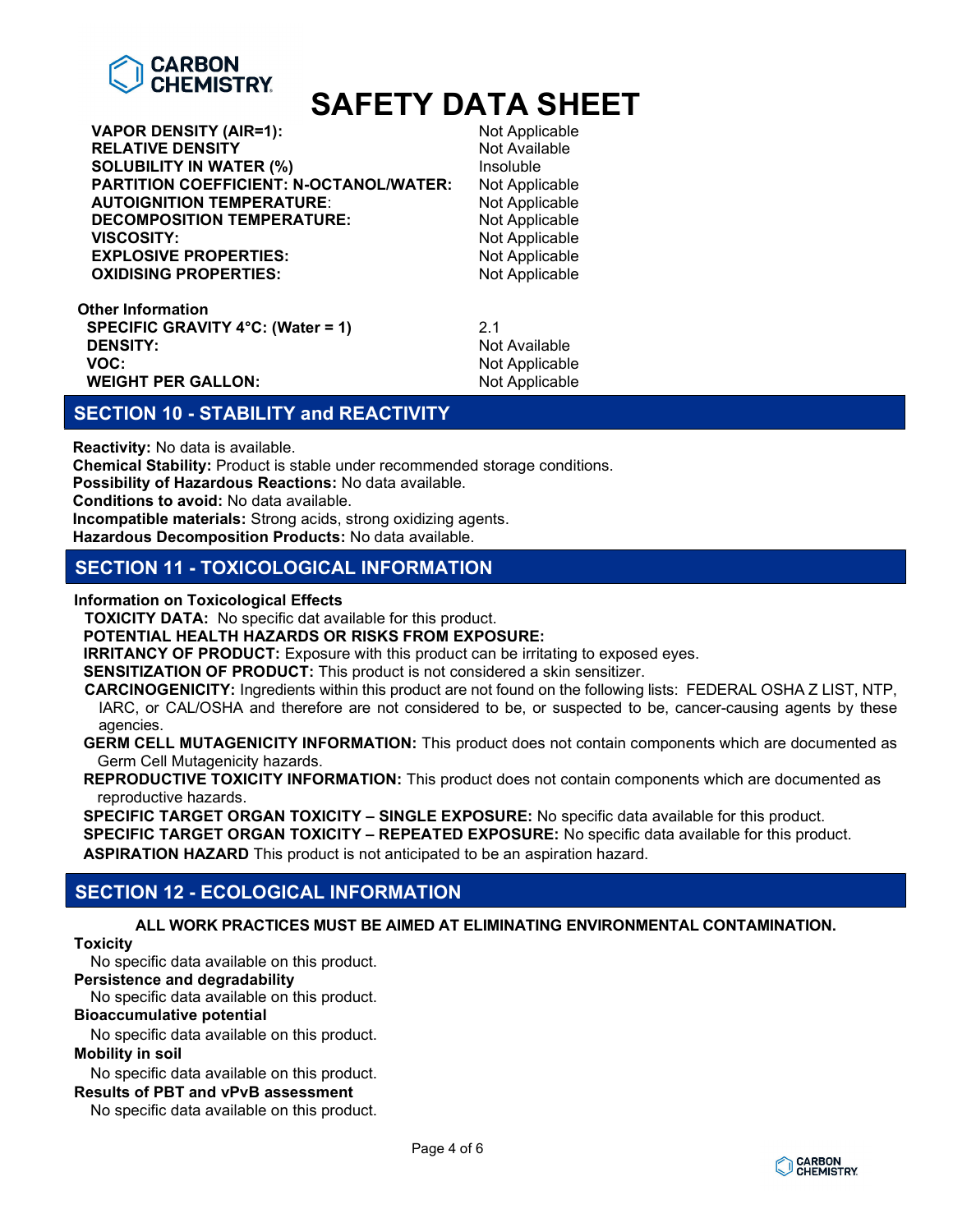

VAPOR DENSITY (AIR=1):<br>
RELATIVE DENSITY<br>
Not Available **RELATIVE DENSITY SOLUBILITY IN WATER (%)** Insoluble PARTITION COEFFICIENT: N-OCTANOL/WATER: Not Applicable<br>AUTOIGNITION TEMPERATURE: Not Applicable **AUTOIGNITION TEMPERATURE: DECOMPOSITION TEMPERATURE:** Not Applicable<br> **VISCOSITY:** Not Applicable **EXPLOSIVE PROPERTIES: OXIDISING PROPERTIES:** Not Applicable

Not Applicable<br>Not Applicable

Other Information SPECIFIC GRAVITY 4°C: (Water = 1) 2.1<br>DENSITY: Not **DENSITY:** Not Available<br> **VOC:** Not Available<br>
Not Applicable WEIGHT PER GALLON: Not Applicable

Not Applicable

# SECTION 10 - STABILITY and REACTIVITY

Reactivity: No data is available.

Chemical Stability: Product is stable under recommended storage conditions.

Possibility of Hazardous Reactions: No data available.

Conditions to avoid: No data available.

Incompatible materials: Strong acids, strong oxidizing agents.

Hazardous Decomposition Products: No data available.

# SECTION 11 - TOXICOLOGICAL INFORMATION

Information on Toxicological Effects

TOXICITY DATA: No specific dat available for this product.

POTENTIAL HEALTH HAZARDS OR RISKS FROM EXPOSURE:

**IRRITANCY OF PRODUCT:** Exposure with this product can be irritating to exposed eyes.

SENSITIZATION OF PRODUCT: This product is not considered a skin sensitizer.

CARCINOGENICITY: Ingredients within this product are not found on the following lists: FEDERAL OSHA Z LIST, NTP, IARC, or CAL/OSHA and therefore are not considered to be, or suspected to be, cancer-causing agents by these agencies.

GERM CELL MUTAGENICITY INFORMATION: This product does not contain components which are documented as Germ Cell Mutagenicity hazards.

REPRODUCTIVE TOXICITY INFORMATION: This product does not contain components which are documented as reproductive hazards.

SPECIFIC TARGET ORGAN TOXICITY – SINGLE EXPOSURE: No specific data available for this product.

SPECIFIC TARGET ORGAN TOXICITY - REPEATED EXPOSURE: No specific data available for this product.

ASPIRATION HAZARD This product is not anticipated to be an aspiration hazard.

# SECTION 12 - ECOLOGICAL INFORMATION

ALL WORK PRACTICES MUST BE AIMED AT ELIMINATING ENVIRONMENTAL CONTAMINATION.

# **Toxicity**

No specific data available on this product.

# Persistence and degradability

No specific data available on this product.

#### Bioaccumulative potential

No specific data available on this product.

# Mobility in soil

No specific data available on this product.

# Results of PBT and vPvB assessment

No specific data available on this product.

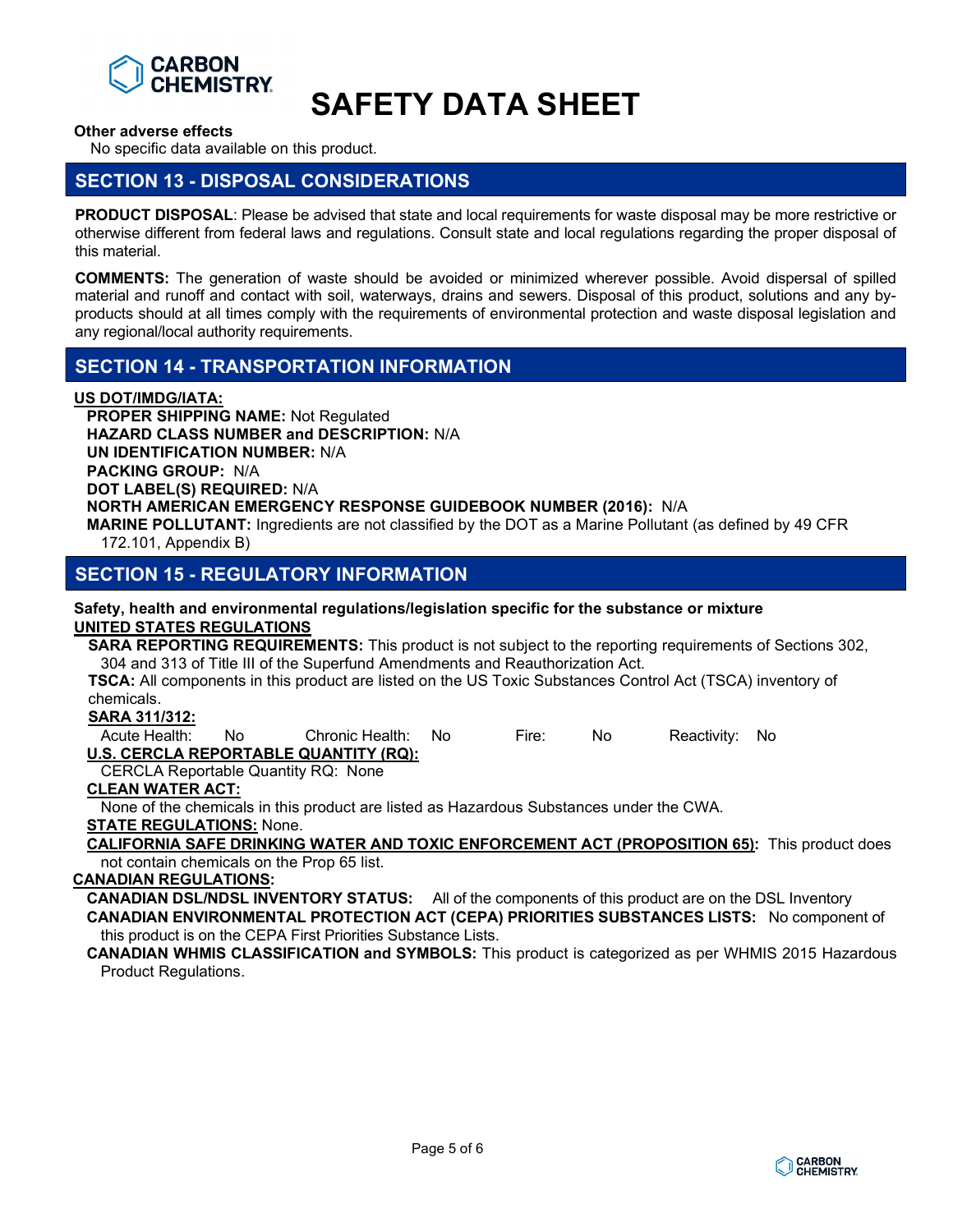

Other adverse effects

No specific data available on this product.

# SECTION 13 - DISPOSAL CONSIDERATIONS

PRODUCT DISPOSAL: Please be advised that state and local requirements for waste disposal may be more restrictive or otherwise different from federal laws and regulations. Consult state and local regulations regarding the proper disposal of this material.

COMMENTS: The generation of waste should be avoided or minimized wherever possible. Avoid dispersal of spilled material and runoff and contact with soil, waterways, drains and sewers. Disposal of this product, solutions and any byproducts should at all times comply with the requirements of environmental protection and waste disposal legislation and any regional/local authority requirements.

# SECTION 14 - TRANSPORTATION INFORMATION

# US DOT/IMDG/IATA:

PROPER SHIPPING NAME: Not Regulated HAZARD CLASS NUMBER and DESCRIPTION: N/A UN IDENTIFICATION NUMBER: N/A PACKING GROUP: N/A DOT LABEL(S) REQUIRED: N/A NORTH AMERICAN EMERGENCY RESPONSE GUIDEBOOK NUMBER (2016): N/A MARINE POLLUTANT: Ingredients are not classified by the DOT as a Marine Pollutant (as defined by 49 CFR 172.101, Appendix B)

# SECTION 15 - REGULATORY INFORMATION

#### Safety, health and environmental regulations/legislation specific for the substance or mixture UNITED STATES REGULATIONS

SARA REPORTING REQUIREMENTS: This product is not subject to the reporting requirements of Sections 302, 304 and 313 of Title III of the Superfund Amendments and Reauthorization Act.

TSCA: All components in this product are listed on the US Toxic Substances Control Act (TSCA) inventory of chemicals.

SARA 311/312:

Acute Health: No Chronic Health: No Fire: No Reactivity: No U.S. CERCLA REPORTABLE QUANTITY (RQ):

CERCLA Reportable Quantity RQ: None

# CLEAN WATER ACT:

None of the chemicals in this product are listed as Hazardous Substances under the CWA.

STATE REGULATIONS: None.

CALIFORNIA SAFE DRINKING WATER AND TOXIC ENFORCEMENT ACT (PROPOSITION 65): This product does not contain chemicals on the Prop 65 list.

## CANADIAN REGULATIONS:

CANADIAN DSL/NDSL INVENTORY STATUS: All of the components of this product are on the DSL Inventory CANADIAN ENVIRONMENTAL PROTECTION ACT (CEPA) PRIORITIES SUBSTANCES LISTS: No component of this product is on the CEPA First Priorities Substance Lists.

## CANADIAN WHMIS CLASSIFICATION and SYMBOLS: This product is categorized as per WHMIS 2015 Hazardous Product Regulations.